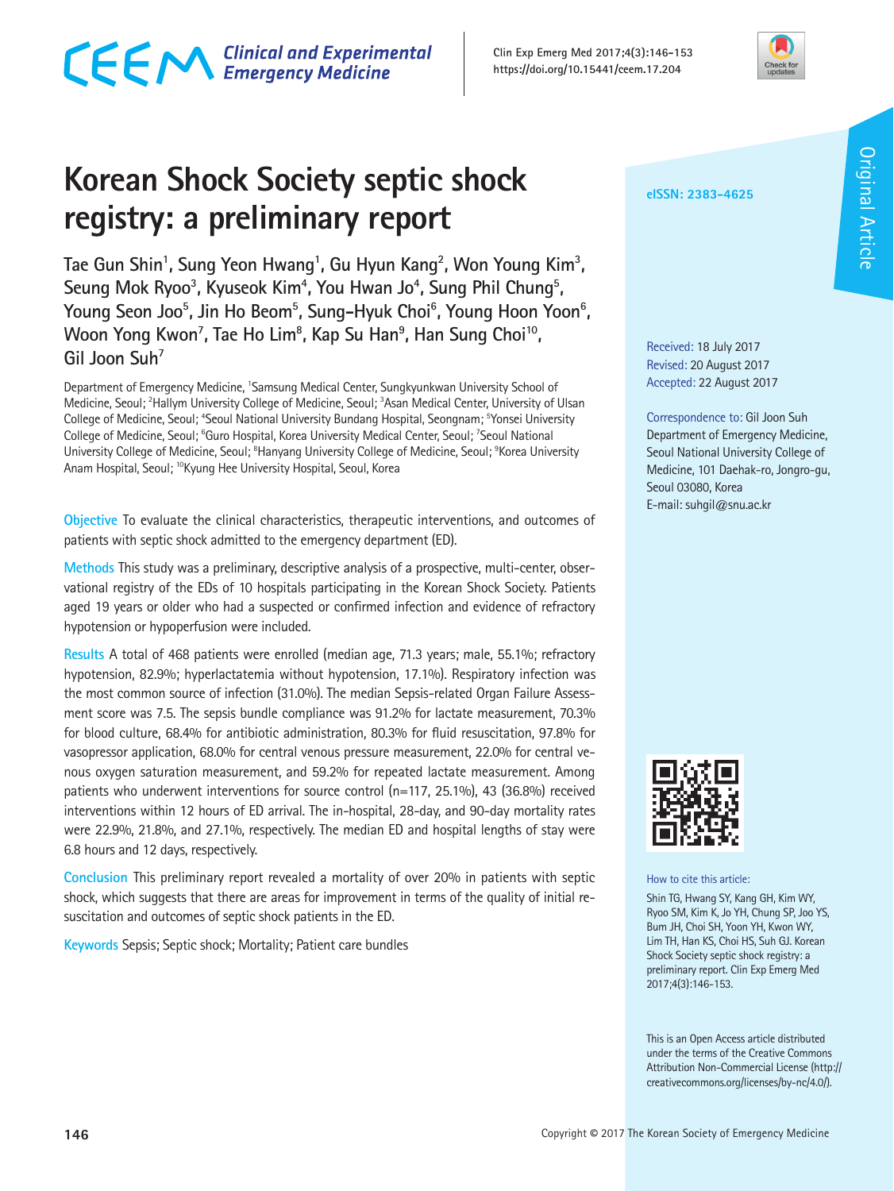**Clin Exp Emerg Med 2017;4(3):146-153 https://doi.org/10.15441/ceem.17.204**

# **Korean Shock Society septic shock registry: a preliminary report**

Tae Gun Shin<sup>1</sup>, Sung Yeon Hwang<sup>1</sup>, Gu Hyun Kang<sup>2</sup>, Won Young Kim<sup>3</sup>, Seung Mok Ryoo<sup>3</sup>, Kyuseok Kim<sup>4</sup>, You Hwan Jo<sup>4</sup>, Sung Phil Chung<sup>5</sup>, Young Seon Joo<sup>5</sup>, Jin Ho Beom<sup>5</sup>, Sung–Hyuk Choi<sup>6</sup>, Young Hoon Yoon<sup>6</sup>, Woon Yong Kwon<sup>7</sup>, Tae Ho Lim<sup>8</sup>, Kap Su Han<sup>9</sup>, Han Sung Choi<sup>10</sup>, **Gil Joon Suh7**

Department of Emergency Medicine, 'Samsung Medical Center, Sungkyunkwan University School of Medicine, Seoul; <sup>2</sup>Hallym University College of Medicine, Seoul; <sup>3</sup>Asan Medical Center, University of Ulsan College of Medicine, Seoul; <sup>4</sup>Seoul National University Bundang Hospital, Seongnam; <sup>5</sup>Yonsei University College of Medicine, Seoul; <sup>6</sup>Guro Hospital, Korea University Medical Center, Seoul; <sup>7</sup>Seoul National University College of Medicine, Seoul; <sup>8</sup>Hanyang University College of Medicine, Seoul; <sup>9</sup>Korea University Anam Hospital, Seoul; 10Kyung Hee University Hospital, Seoul, Korea

**Objective** To evaluate the clinical characteristics, therapeutic interventions, and outcomes of patients with septic shock admitted to the emergency department (ED).

**Methods** This study was a preliminary, descriptive analysis of a prospective, multi-center, observational registry of the EDs of 10 hospitals participating in the Korean Shock Society. Patients aged 19 years or older who had a suspected or confirmed infection and evidence of refractory hypotension or hypoperfusion were included.

**Results** A total of 468 patients were enrolled (median age, 71.3 years; male, 55.1%; refractory hypotension, 82.9%; hyperlactatemia without hypotension, 17.1%). Respiratory infection was the most common source of infection (31.0%). The median Sepsis-related Organ Failure Assessment score was 7.5. The sepsis bundle compliance was 91.2% for lactate measurement, 70.3% for blood culture, 68.4% for antibiotic administration, 80.3% for fluid resuscitation, 97.8% for vasopressor application, 68.0% for central venous pressure measurement, 22.0% for central venous oxygen saturation measurement, and 59.2% for repeated lactate measurement. Among patients who underwent interventions for source control (n=117, 25.1%), 43 (36.8%) received interventions within 12 hours of ED arrival. The in-hospital, 28-day, and 90-day mortality rates were 22.9%, 21.8%, and 27.1%, respectively. The median ED and hospital lengths of stay were 6.8 hours and 12 days, respectively.

**Conclusion** This preliminary report revealed a mortality of over 20% in patients with septic shock, which suggests that there are areas for improvement in terms of the quality of initial resuscitation and outcomes of septic shock patients in the ED.

**Keywords** Sepsis; Septic shock; Mortality; Patient care bundles

**eISSN: 2383-4625**

Received: 18 July 2017 Revised: 20 August 2017 Accepted: 22 August 2017

Correspondence to: Gil Joon Suh Department of Emergency Medicine, Seoul National University College of Medicine, 101 Daehak-ro, Jongro-gu, Seoul 03080, Korea E-mail: suhgil@snu.ac.kr



Shin TG, Hwang SY, Kang GH, Kim WY, Ryoo SM, Kim K, Jo YH, Chung SP, Joo YS, Bum JH, Choi SH, Yoon YH, Kwon WY, Lim TH, Han KS, Choi HS, Suh GJ. Korean Shock Society septic shock registry: a preliminary report. Clin Exp Emerg Med 2017;4(3):146-153.

This is an Open Access article distributed under the terms of the Creative Commons Attribution Non-Commercial License (http:// creativecommons.org/licenses/by-nc/4.0/).





# CECM Clinical and Experimental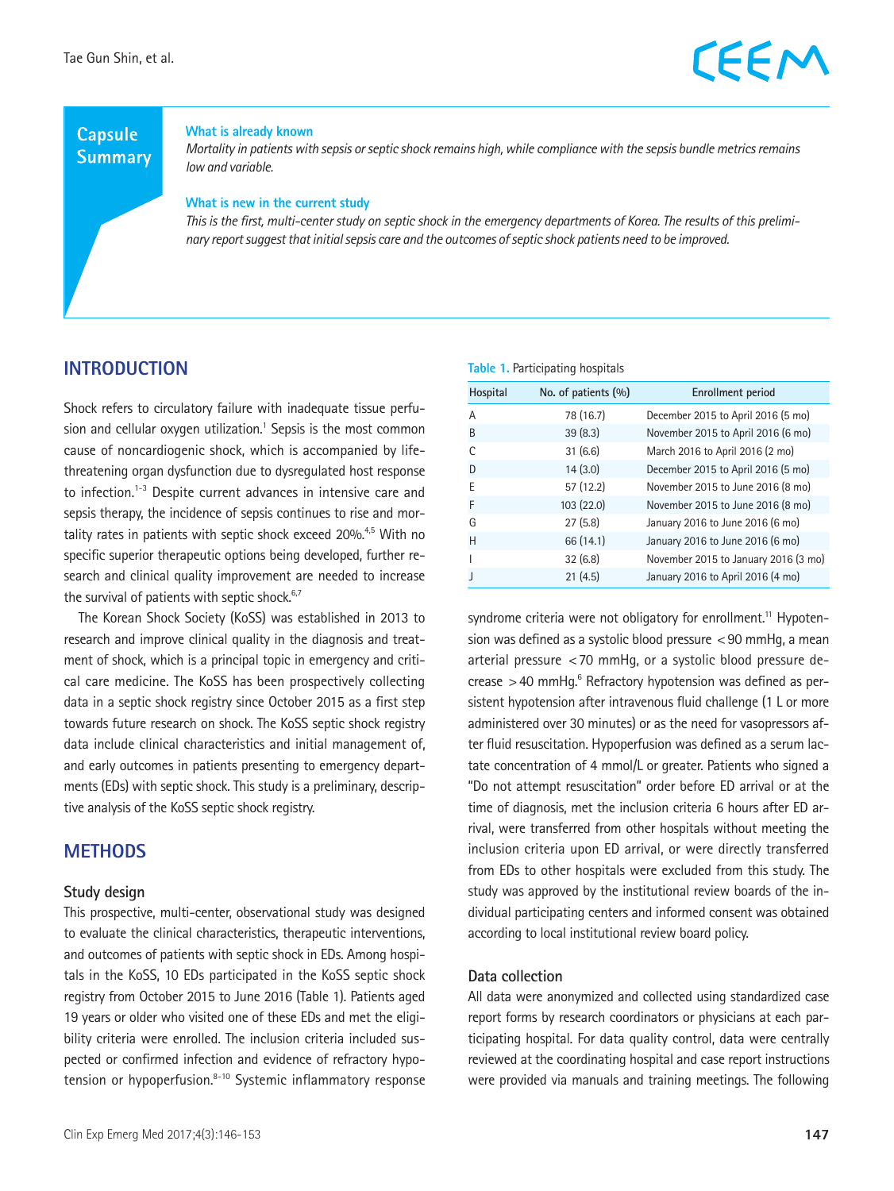### **Capsule Summary**

**What is already known**

*Mortality in patients with sepsis or septic shock remains high, while compliance with the sepsis bundle metrics remains low and variable.*

#### **What is new in the current study**

*This is the first, multi-center study on septic shock in the emergency departments of Korea. The results of this preliminary report suggest that initial sepsis care and the outcomes of septic shock patients need to be improved.*

### **INTRODUCTION**

Shock refers to circulatory failure with inadequate tissue perfusion and cellular oxygen utilization.<sup>1</sup> Sepsis is the most common cause of noncardiogenic shock, which is accompanied by lifethreatening organ dysfunction due to dysregulated host response to infection.<sup>1-3</sup> Despite current advances in intensive care and sepsis therapy, the incidence of sepsis continues to rise and mortality rates in patients with septic shock exceed 20%.<sup>4,5</sup> With no specific superior therapeutic options being developed, further research and clinical quality improvement are needed to increase the survival of patients with septic shock.<sup>6,7</sup>

The Korean Shock Society (KoSS) was established in 2013 to research and improve clinical quality in the diagnosis and treatment of shock, which is a principal topic in emergency and critical care medicine. The KoSS has been prospectively collecting data in a septic shock registry since October 2015 as a first step towards future research on shock. The KoSS septic shock registry data include clinical characteristics and initial management of, and early outcomes in patients presenting to emergency departments (EDs) with septic shock. This study is a preliminary, descriptive analysis of the KoSS septic shock registry.

### **METHODS**

#### **Study design**

This prospective, multi-center, observational study was designed to evaluate the clinical characteristics, therapeutic interventions, and outcomes of patients with septic shock in EDs. Among hospitals in the KoSS, 10 EDs participated in the KoSS septic shock registry from October 2015 to June 2016 (Table 1). Patients aged 19 years or older who visited one of these EDs and met the eligibility criteria were enrolled. The inclusion criteria included suspected or confirmed infection and evidence of refractory hypotension or hypoperfusion.<sup>8-10</sup> Systemic inflammatory response **Table 1.** Participating hospitals

| Hospital | No. of patients (%) | <b>Enrollment period</b>             |
|----------|---------------------|--------------------------------------|
| A        | 78 (16.7)           | December 2015 to April 2016 (5 mo)   |
| B        | 39(8.3)             | November 2015 to April 2016 (6 mo)   |
|          | 31(6.6)             | March 2016 to April 2016 (2 mo)      |
| D        | 14(3.0)             | December 2015 to April 2016 (5 mo)   |
| F        | 57 (12.2)           | November 2015 to June 2016 (8 mo)    |
| F        | 103(22.0)           | November 2015 to June 2016 (8 mo)    |
| G        | 27(5.8)             | January 2016 to June 2016 (6 mo)     |
| H        | 66 (14.1)           | January 2016 to June 2016 (6 mo)     |
|          | 32(6.8)             | November 2015 to January 2016 (3 mo) |
|          | 21(4.5)             | January 2016 to April 2016 (4 mo)    |

syndrome criteria were not obligatory for enrollment.<sup>11</sup> Hypotension was defined as a systolic blood pressure <90 mmHg, a mean arterial pressure <70 mmHg, or a systolic blood pressure decrease  $>$  40 mmHg. $^6$  Refractory hypotension was defined as persistent hypotension after intravenous fluid challenge (1 L or more administered over 30 minutes) or as the need for vasopressors after fluid resuscitation. Hypoperfusion was defined as a serum lactate concentration of 4 mmol/L or greater. Patients who signed a "Do not attempt resuscitation" order before ED arrival or at the time of diagnosis, met the inclusion criteria 6 hours after ED arrival, were transferred from other hospitals without meeting the inclusion criteria upon ED arrival, or were directly transferred from EDs to other hospitals were excluded from this study. The study was approved by the institutional review boards of the individual participating centers and informed consent was obtained according to local institutional review board policy.

#### **Data collection**

All data were anonymized and collected using standardized case report forms by research coordinators or physicians at each participating hospital. For data quality control, data were centrally reviewed at the coordinating hospital and case report instructions were provided via manuals and training meetings. The following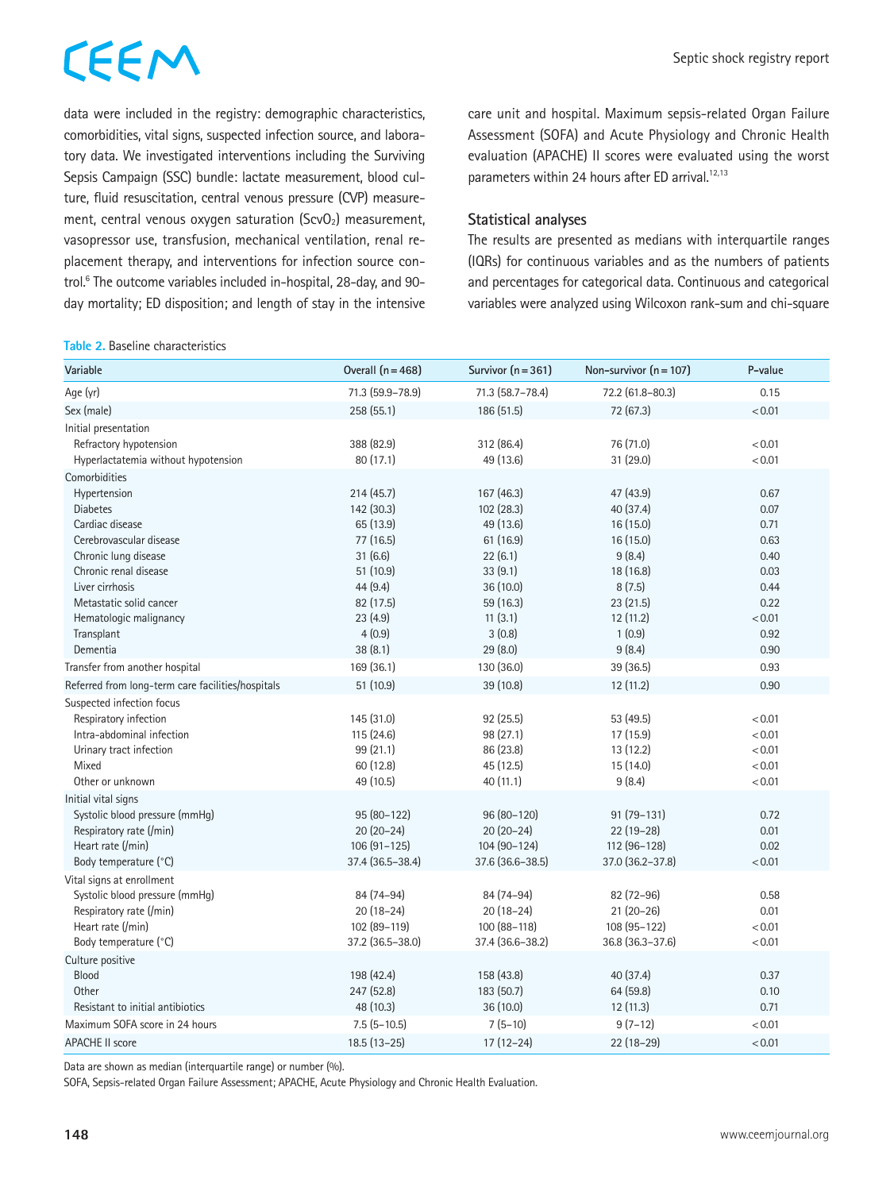data were included in the registry: demographic characteristics, comorbidities, vital signs, suspected infection source, and laboratory data. We investigated interventions including the Surviving Sepsis Campaign (SSC) bundle: lactate measurement, blood culture, fluid resuscitation, central venous pressure (CVP) measurement, central venous oxygen saturation  $(ScvO<sub>2</sub>)$  measurement, vasopressor use, transfusion, mechanical ventilation, renal replacement therapy, and interventions for infection source control.6 The outcome variables included in-hospital, 28-day, and 90 day mortality; ED disposition; and length of stay in the intensive

#### **Table 2.** Baseline characteristics

care unit and hospital. Maximum sepsis-related Organ Failure Assessment (SOFA) and Acute Physiology and Chronic Health evaluation (APACHE) II scores were evaluated using the worst parameters within 24 hours after ED arrival.<sup>12,13</sup>

#### **Statistical analyses**

The results are presented as medians with interquartile ranges (IQRs) for continuous variables and as the numbers of patients and percentages for categorical data. Continuous and categorical variables were analyzed using Wilcoxon rank-sum and chi-square

| Variable                                          | Overall $(n = 468)$ | Survivor $(n = 361)$ | Non-survivor $(n = 107)$ | P-value |
|---------------------------------------------------|---------------------|----------------------|--------------------------|---------|
| Age (yr)                                          | 71.3 (59.9-78.9)    | 71.3 (58.7-78.4)     | 72.2 (61.8-80.3)         | 0.15    |
| Sex (male)                                        | 258 (55.1)          | 186 (51.5)           | 72 (67.3)                | < 0.01  |
| Initial presentation                              |                     |                      |                          |         |
| Refractory hypotension                            | 388 (82.9)          | 312 (86.4)           | 76 (71.0)                | < 0.01  |
| Hyperlactatemia without hypotension               | 80 (17.1)           | 49 (13.6)            | 31 (29.0)                | < 0.01  |
| Comorbidities                                     |                     |                      |                          |         |
| Hypertension                                      | 214(45.7)           | 167 (46.3)           | 47 (43.9)                | 0.67    |
| <b>Diabetes</b>                                   | 142 (30.3)          | 102(28.3)            | 40 (37.4)                | 0.07    |
| Cardiac disease                                   | 65 (13.9)           | 49 (13.6)            | 16 (15.0)                | 0.71    |
| Cerebrovascular disease                           | 77 (16.5)           | 61(16.9)             | 16(15.0)                 | 0.63    |
| Chronic lung disease                              | 31(6.6)             | 22(6.1)              | 9(8.4)                   | 0.40    |
| Chronic renal disease                             | 51 (10.9)           | 33(9.1)              | 18 (16.8)                | 0.03    |
| Liver cirrhosis                                   | 44 (9.4)            | 36 (10.0)            | 8(7.5)                   | 0.44    |
| Metastatic solid cancer                           | 82 (17.5)           | 59 (16.3)            | 23(21.5)                 | 0.22    |
| Hematologic malignancy                            | 23(4.9)             | 11(3.1)              | 12(11.2)                 | < 0.01  |
| Transplant                                        | 4(0.9)              | 3(0.8)               | 1(0.9)                   | 0.92    |
| Dementia                                          | 38(8.1)             | 29(8.0)              | 9(8.4)                   | 0.90    |
| Transfer from another hospital                    | 169 (36.1)          | 130 (36.0)           | 39 (36.5)                | 0.93    |
| Referred from long-term care facilities/hospitals | 51 (10.9)           | 39 (10.8)            | 12 (11.2)                | 0.90    |
| Suspected infection focus                         |                     |                      |                          |         |
| Respiratory infection                             | 145 (31.0)          | 92 (25.5)            | 53 (49.5)                | < 0.01  |
| Intra-abdominal infection                         | 115 (24.6)          | 98 (27.1)            | 17 (15.9)                | < 0.01  |
| Urinary tract infection                           | 99 (21.1)           | 86 (23.8)            | 13(12.2)                 | < 0.01  |
| Mixed                                             | 60 (12.8)           | 45 (12.5)            | 15 (14.0)                | < 0.01  |
| Other or unknown                                  | 49 (10.5)           | 40 (11.1)            | 9(8.4)                   | < 0.01  |
| Initial vital signs                               |                     |                      |                          |         |
| Systolic blood pressure (mmHq)                    | 95 (80-122)         | 96 (80-120)          | $91(79-131)$             | 0.72    |
| Respiratory rate (/min)                           | $20(20-24)$         | $20(20-24)$          | $22(19-28)$              | 0.01    |
| Heart rate (/min)                                 | $106(91-125)$       | 104 (90-124)         | 112 (96-128)             | 0.02    |
| Body temperature (°C)                             | 37.4 (36.5-38.4)    | 37.6 (36.6-38.5)     | $37.0$ $(36.2 - 37.8)$   | < 0.01  |
| Vital signs at enrollment                         |                     |                      |                          |         |
| Systolic blood pressure (mmHg)                    | 84 (74-94)          | 84 (74-94)           | 82 (72-96)               | 0.58    |
| Respiratory rate (/min)                           | $20(18-24)$         | $20(18-24)$          | $21(20-26)$              | 0.01    |
| Heart rate (/min)                                 | 102 (89-119)        | 100 (88-118)         | 108 (95-122)             | < 0.01  |
| Body temperature (°C)                             | 37.2 (36.5-38.0)    | 37.4 (36.6-38.2)     | 36.8 (36.3-37.6)         | < 0.01  |
| Culture positive                                  |                     |                      |                          |         |
| <b>Blood</b>                                      | 198 (42.4)          | 158 (43.8)           | 40 (37.4)                | 0.37    |
| Other                                             | 247 (52.8)          | 183 (50.7)           | 64 (59.8)                | 0.10    |
| Resistant to initial antibiotics                  | 48 (10.3)           | 36 (10.0)            | 12(11.3)                 | 0.71    |
| Maximum SOFA score in 24 hours                    | $7.5$ (5-10.5)      | $7(5-10)$            | $9(7-12)$                | < 0.01  |
| <b>APACHE II score</b>                            | $18.5(13-25)$       | $17(12-24)$          | $22(18-29)$              | < 0.01  |

Data are shown as median (interquartile range) or number (%).

SOFA, Sepsis-related Organ Failure Assessment; APACHE, Acute Physiology and Chronic Health Evaluation.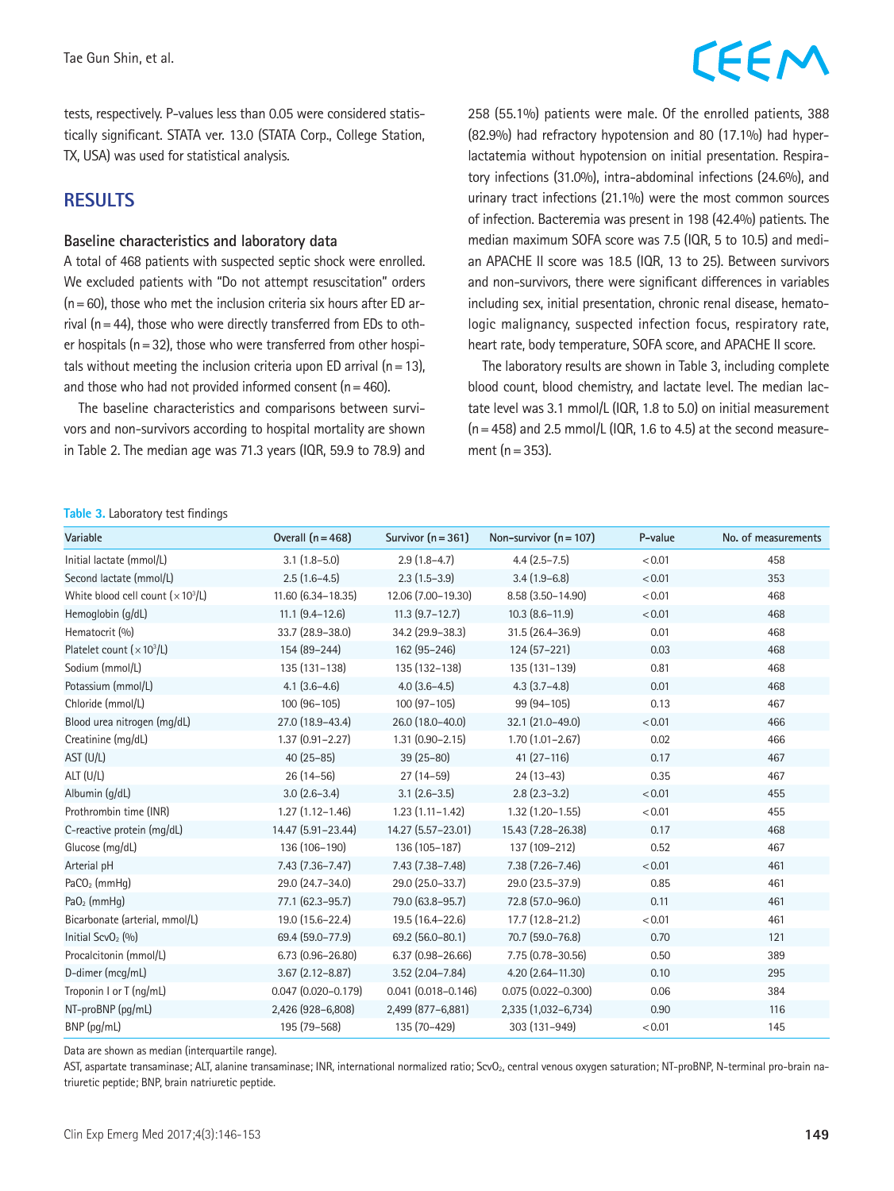#### tests, respectively. P-values less than 0.05 were considered statistically significant. STATA ver. 13.0 (STATA Corp., College Station, TX, USA) was used for statistical analysis.

### **RESULTS**

#### **Baseline characteristics and laboratory data**

A total of 468 patients with suspected septic shock were enrolled. We excluded patients with "Do not attempt resuscitation" orders  $(n=60)$ , those who met the inclusion criteria six hours after ED arrival ( $n=44$ ), those who were directly transferred from EDs to other hospitals ( $n=32$ ), those who were transferred from other hospitals without meeting the inclusion criteria upon ED arrival ( $n=13$ ), and those who had not provided informed consent  $(n=460)$ .

The baseline characteristics and comparisons between survivors and non-survivors according to hospital mortality are shown in Table 2. The median age was 71.3 years (IQR, 59.9 to 78.9) and

# CEEM

258 (55.1%) patients were male. Of the enrolled patients, 388 (82.9%) had refractory hypotension and 80 (17.1%) had hyperlactatemia without hypotension on initial presentation. Respiratory infections (31.0%), intra-abdominal infections (24.6%), and urinary tract infections (21.1%) were the most common sources of infection. Bacteremia was present in 198 (42.4%) patients. The median maximum SOFA score was 7.5 (IQR, 5 to 10.5) and median APACHE II score was 18.5 (IQR, 13 to 25). Between survivors and non-survivors, there were significant differences in variables including sex, initial presentation, chronic renal disease, hematologic malignancy, suspected infection focus, respiratory rate, heart rate, body temperature, SOFA score, and APACHE II score.

The laboratory results are shown in Table 3, including complete blood count, blood chemistry, and lactate level. The median lactate level was 3.1 mmol/L (IQR, 1.8 to 5.0) on initial measurement  $(n=458)$  and 2.5 mmol/L (IQR, 1.6 to 4.5) at the second measurement  $(n=353)$ .

#### **Table 3.** Laboratory test findings

| Variable                            | Overall $(n = 468)$       | Survivor $(n=361)$        | Non-survivor $(n = 107)$ | P-value | No. of measurements |
|-------------------------------------|---------------------------|---------------------------|--------------------------|---------|---------------------|
| Initial lactate (mmol/L)            | $3.1(1.8-5.0)$            | $2.9(1.8-4.7)$            | $4.4(2.5 - 7.5)$         | < 0.01  | 458                 |
| Second lactate (mmol/L)             | $2.5(1.6-4.5)$            | $2.3(1.5-3.9)$            | $3.4(1.9-6.8)$           | < 0.01  | 353                 |
| White blood cell count $(x 10^3/L)$ | 11.60 (6.34-18.35)        | 12.06 (7.00-19.30)        | 8.58 (3.50-14.90)        | < 0.01  | 468                 |
| Hemoglobin (g/dL)                   | $11.1$ $(9.4 - 12.6)$     | $11.3(9.7-12.7)$          | $10.3$ $(8.6 - 11.9)$    | < 0.01  | 468                 |
| Hematocrit (%)                      | 33.7 (28.9-38.0)          | 34.2 (29.9-38.3)          | 31.5 (26.4-36.9)         | 0.01    | 468                 |
| Platelet count $(x 10^3/L)$         | 154 (89-244)              | 162 (95-246)              | 124 (57-221)             | 0.03    | 468                 |
| Sodium (mmol/L)                     | 135 (131-138)             | 135 (132-138)             | 135 (131-139)            | 0.81    | 468                 |
| Potassium (mmol/L)                  | $4.1(3.6-4.6)$            | $4.0(3.6-4.5)$            | $4.3(3.7-4.8)$           | 0.01    | 468                 |
| Chloride (mmol/L)                   | 100 (96-105)              | $100(97-105)$             | 99 (94-105)              | 0.13    | 467                 |
| Blood urea nitrogen (mg/dL)         | 27.0 (18.9-43.4)          | 26.0 (18.0-40.0)          | 32.1 (21.0-49.0)         | < 0.01  | 466                 |
| Creatinine (mg/dL)                  | $1.37(0.91 - 2.27)$       | $1.31(0.90 - 2.15)$       | $1.70(1.01 - 2.67)$      | 0.02    | 466                 |
| AST (U/L)                           | $40(25 - 85)$             | $39(25-80)$               | $41(27-116)$             | 0.17    | 467                 |
| $ALT$ (U/L)                         | $26(14-56)$               | $27(14-59)$               | $24(13-43)$              | 0.35    | 467                 |
| Albumin (g/dL)                      | $3.0(2.6-3.4)$            | $3.1$ $(2.6-3.5)$         | $2.8(2.3-3.2)$           | < 0.01  | 455                 |
| Prothrombin time (INR)              | $1.27(1.12 - 1.46)$       | $1.23(1.11 - 1.42)$       | $1.32$ $(1.20 - 1.55)$   | < 0.01  | 455                 |
| C-reactive protein (mg/dL)          | 14.47 (5.91-23.44)        | 14.27 (5.57-23.01)        | 15.43 (7.28-26.38)       | 0.17    | 468                 |
| Glucose (mg/dL)                     | 136 (106-190)             | 136 (105-187)             | 137 (109-212)            | 0.52    | 467                 |
| Arterial pH                         | $7.43(7.36 - 7.47)$       | 7.43 (7.38-7.48)          | 7.38 (7.26-7.46)         | < 0.01  | 461                 |
| $PaCO2$ (mmHq)                      | 29.0 (24.7-34.0)          | 29.0 (25.0-33.7)          | 29.0 (23.5-37.9)         | 0.85    | 461                 |
| $PaO2$ (mmHq)                       | 77.1 (62.3-95.7)          | 79.0 (63.8-95.7)          | 72.8 (57.0-96.0)         | 0.11    | 461                 |
| Bicarbonate (arterial, mmol/L)      | 19.0 (15.6-22.4)          | 19.5 (16.4-22.6)          | 17.7 (12.8-21.2)         | < 0.01  | 461                 |
| Initial ScvO <sub>2</sub> $(%)$     | 69.4 (59.0-77.9)          | 69.2 (56.0-80.1)          | 70.7 (59.0-76.8)         | 0.70    | 121                 |
| Procalcitonin (mmol/L)              | $6.73(0.96 - 26.80)$      | $6.37(0.98 - 26.66)$      | 7.75 (0.78-30.56)        | 0.50    | 389                 |
| D-dimer (mcg/mL)                    | $3.67(2.12 - 8.87)$       | $3.52$ (2.04-7.84)        | $4.20$ $(2.64 - 11.30)$  | 0.10    | 295                 |
| Troponin I or T (ng/mL)             | $0.047$ $(0.020 - 0.179)$ | $0.041$ $(0.018 - 0.146)$ | $0.075(0.022 - 0.300)$   | 0.06    | 384                 |
| NT-proBNP (pq/mL)                   | 2,426 (928-6,808)         | 2,499 (877-6,881)         | 2,335 (1,032-6,734)      | 0.90    | 116                 |
| BNP (pq/mL)                         | 195 (79-568)              | 135 (70-429)              | 303 (131-949)            | < 0.01  | 145                 |

Data are shown as median (interquartile range).

AST, aspartate transaminase; ALT, alanine transaminase; INR, international normalized ratio; ScvO<sub>2</sub>, central venous oxygen saturation; NT-proBNP, N-terminal pro-brain natriuretic peptide; BNP, brain natriuretic peptide.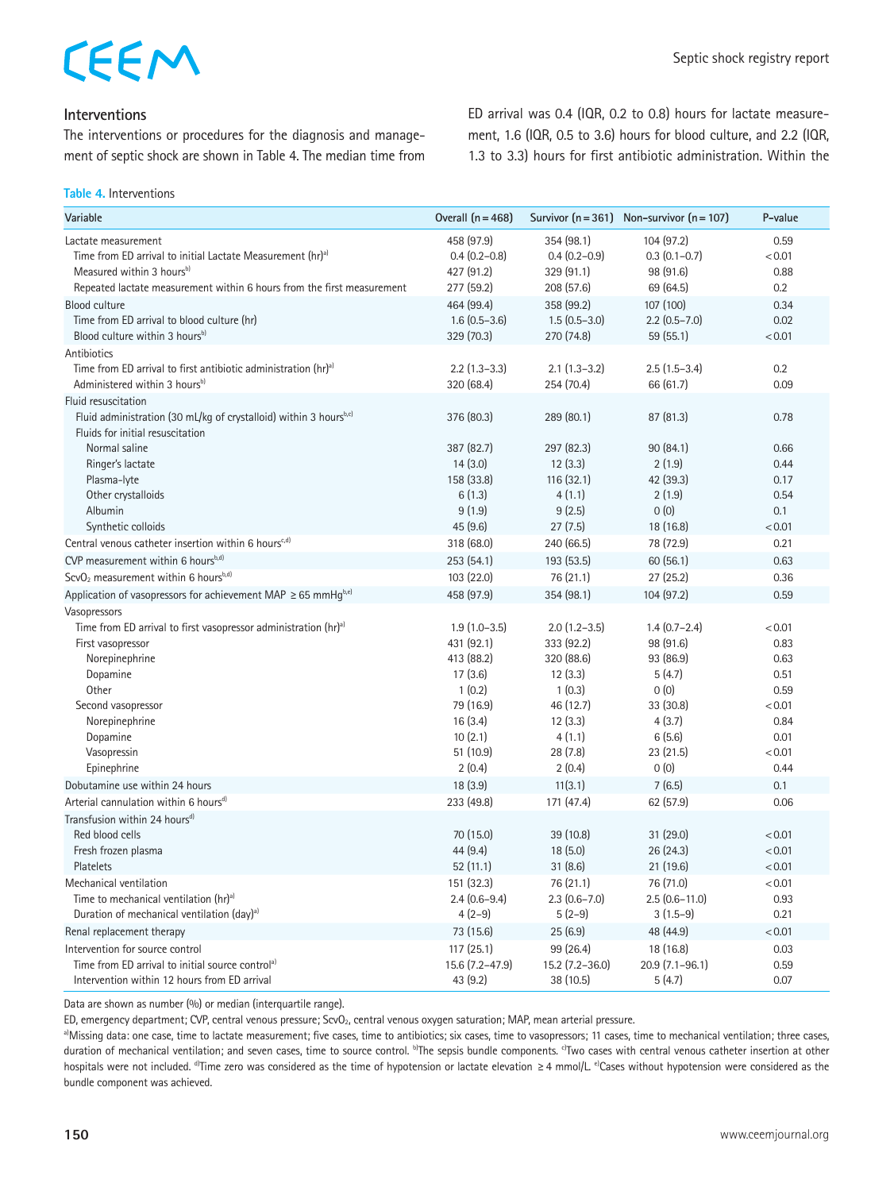#### **Interventions**

The interventions or procedures for the diagnosis and management of septic shock are shown in Table 4. The median time from ED arrival was 0.4 (IQR, 0.2 to 0.8) hours for lactate measurement, 1.6 (IQR, 0.5 to 3.6) hours for blood culture, and 2.2 (IQR, 1.3 to 3.3) hours for first antibiotic administration. Within the

**Table 4.** Interventions

| Variable                                                                       | Overall $(n = 468)$ |                  | Survivor $(n = 361)$ Non-survivor $(n = 107)$ | P-value |
|--------------------------------------------------------------------------------|---------------------|------------------|-----------------------------------------------|---------|
| Lactate measurement                                                            | 458 (97.9)          | 354 (98.1)       | 104 (97.2)                                    | 0.59    |
| Time from ED arrival to initial Lactate Measurement (hr) <sup>a)</sup>         | $0.4(0.2 - 0.8)$    | $0.4(0.2-0.9)$   | $0.3(0.1-0.7)$                                | < 0.01  |
| Measured within 3 hours <sup>b)</sup>                                          | 427 (91.2)          | 329 (91.1)       | 98 (91.6)                                     | 0.88    |
| Repeated lactate measurement within 6 hours from the first measurement         | 277 (59.2)          | 208 (57.6)       | 69 (64.5)                                     | 0.2     |
| <b>Blood culture</b>                                                           | 464 (99.4)          | 358 (99.2)       | 107 (100)                                     | 0.34    |
| Time from ED arrival to blood culture (hr)                                     | $1.6(0.5-3.6)$      | $1.5(0.5-3.0)$   | $2.2$ (0.5-7.0)                               | 0.02    |
| Blood culture within 3 hours <sup>b)</sup>                                     | 329 (70.3)          | 270 (74.8)       | 59 (55.1)                                     | < 0.01  |
| Antibiotics                                                                    |                     |                  |                                               |         |
| Time from ED arrival to first antibiotic administration (hr) <sup>a)</sup>     | $2.2$ (1.3-3.3)     | $2.1(1.3-3.2)$   | $2.5(1.5-3.4)$                                | 0.2     |
| Administered within 3 hours <sup>b)</sup>                                      | 320 (68.4)          | 254 (70.4)       | 66 (61.7)                                     | 0.09    |
| Fluid resuscitation                                                            |                     |                  |                                               |         |
| Fluid administration (30 mL/kg of crystalloid) within 3 hoursb,c)              | 376 (80.3)          | 289 (80.1)       | 87(81.3)                                      | 0.78    |
| Fluids for initial resuscitation                                               |                     |                  |                                               |         |
| Normal saline                                                                  | 387 (82.7)          | 297 (82.3)       | 90(84.1)                                      | 0.66    |
| Ringer's lactate                                                               | 14(3.0)             | 12(3.3)          | 2(1.9)                                        | 0.44    |
| Plasma-lyte                                                                    | 158 (33.8)          | 116(32.1)        | 42 (39.3)                                     | 0.17    |
| Other crystalloids                                                             | 6(1.3)              | 4(1.1)           | 2(1.9)                                        | 0.54    |
| Albumin                                                                        | 9(1.9)              | 9(2.5)           | 0(0)                                          | 0.1     |
| Synthetic colloids                                                             | 45(9.6)             | 27(7.5)          | 18 (16.8)                                     | < 0.01  |
| Central venous catheter insertion within 6 hours <sup>e,d)</sup>               | 318 (68.0)          | 240 (66.5)       | 78 (72.9)                                     | 0.21    |
| CVP measurement within 6 hours <sup>b,d)</sup>                                 | 253(54.1)           | 193 (53.5)       | 60(56.1)                                      | 0.63    |
| ScvO <sub>2</sub> measurement within 6 hours <sup>b,d)</sup>                   | 103 (22.0)          | 76 (21.1)        | 27(25.2)                                      | 0.36    |
| Application of vasopressors for achievement MAP $\geq$ 65 mmHq <sup>b,e)</sup> | 458 (97.9)          | 354 (98.1)       | 104 (97.2)                                    | 0.59    |
| Vasopressors                                                                   |                     |                  |                                               |         |
| Time from ED arrival to first vasopressor administration (hr) <sup>a)</sup>    | $1.9(1.0-3.5)$      | $2.0(1.2-3.5)$   | $1.4(0.7 - 2.4)$                              | < 0.01  |
| First vasopressor                                                              | 431 (92.1)          | 333 (92.2)       | 98 (91.6)                                     | 0.83    |
| Norepinephrine                                                                 | 413 (88.2)          | 320 (88.6)       | 93 (86.9)                                     | 0.63    |
| Dopamine                                                                       | 17(3.6)             | 12(3.3)          | 5(4.7)                                        | 0.51    |
| Other                                                                          | 1(0.2)              | 1(0.3)           | 0(0)                                          | 0.59    |
| Second vasopressor                                                             | 79 (16.9)           | 46 (12.7)        | 33 (30.8)                                     | < 0.01  |
| Norepinephrine                                                                 | 16(3.4)             | 12(3.3)          | 4(3.7)                                        | 0.84    |
| Dopamine                                                                       | 10(2.1)             | 4(1.1)           | 6(5.6)                                        | 0.01    |
| Vasopressin                                                                    | 51 (10.9)           | 28(7.8)          | 23 (21.5)                                     | < 0.01  |
| Epinephrine                                                                    | 2(0.4)              | 2(0.4)           | 0(0)                                          | 0.44    |
| Dobutamine use within 24 hours                                                 | 18(3.9)             | 11(3.1)          | 7(6.5)                                        | 0.1     |
| Arterial cannulation within 6 hours <sup>d)</sup>                              | 233 (49.8)          | 171 (47.4)       | 62 (57.9)                                     | 0.06    |
| Transfusion within 24 hours <sup>d)</sup>                                      |                     |                  |                                               |         |
| Red blood cells                                                                | 70 (15.0)           | 39(10.8)         | 31(29.0)                                      | < 0.01  |
| Fresh frozen plasma                                                            | 44(9.4)             | 18(5.0)          | 26(24.3)                                      | < 0.01  |
| Platelets                                                                      | 52(11.1)            | 31(8.6)          | 21(19.6)                                      | < 0.01  |
| Mechanical ventilation                                                         | 151 (32.3)          | 76 (21.1)        | 76 (71.0)                                     | < 0.01  |
| Time to mechanical ventilation (hr) <sup>a)</sup>                              | $2.4(0.6-9.4)$      | $2.3(0.6 - 7.0)$ | $2.5(0.6-11.0)$                               | 0.93    |
| Duration of mechanical ventilation (day) <sup>a)</sup>                         | $4(2-9)$            | $5(2-9)$         | $3(1.5-9)$                                    | 0.21    |
| Renal replacement therapy                                                      | 73 (15.6)           | 25(6.9)          | 48 (44.9)                                     | < 0.01  |
| Intervention for source control                                                | 117(25.1)           | 99 (26.4)        | 18 (16.8)                                     | 0.03    |
| Time from ED arrival to initial source control <sup>a)</sup>                   | 15.6 (7.2-47.9)     | 15.2 (7.2-36.0)  | $20.9(7.1-96.1)$                              | 0.59    |
| Intervention within 12 hours from ED arrival                                   | 43 (9.2)            | 38 (10.5)        | 5(4.7)                                        | 0.07    |

Data are shown as number (%) or median (interquartile range).

ED, emergency department; CVP, central venous pressure; ScvO<sub>2</sub>, central venous oxygen saturation; MAP, mean arterial pressure.<br><sup>a)</sup>Missing data: one case, time to lactate measurement; five cases, time to antibiotics; six duration of mechanical ventilation; and seven cases, time to source control. <sup>b</sup>The sepsis bundle components. <sup>c)</sup>Two cases with central venous catheter insertion at other hospitals were not included. <sup>d</sup>Time zero was considered as the time of hypotension or lactate elevation ≥4 mmol/L. <sup>e)</sup>Cases without hypotension were considered as the bundle component was achieved.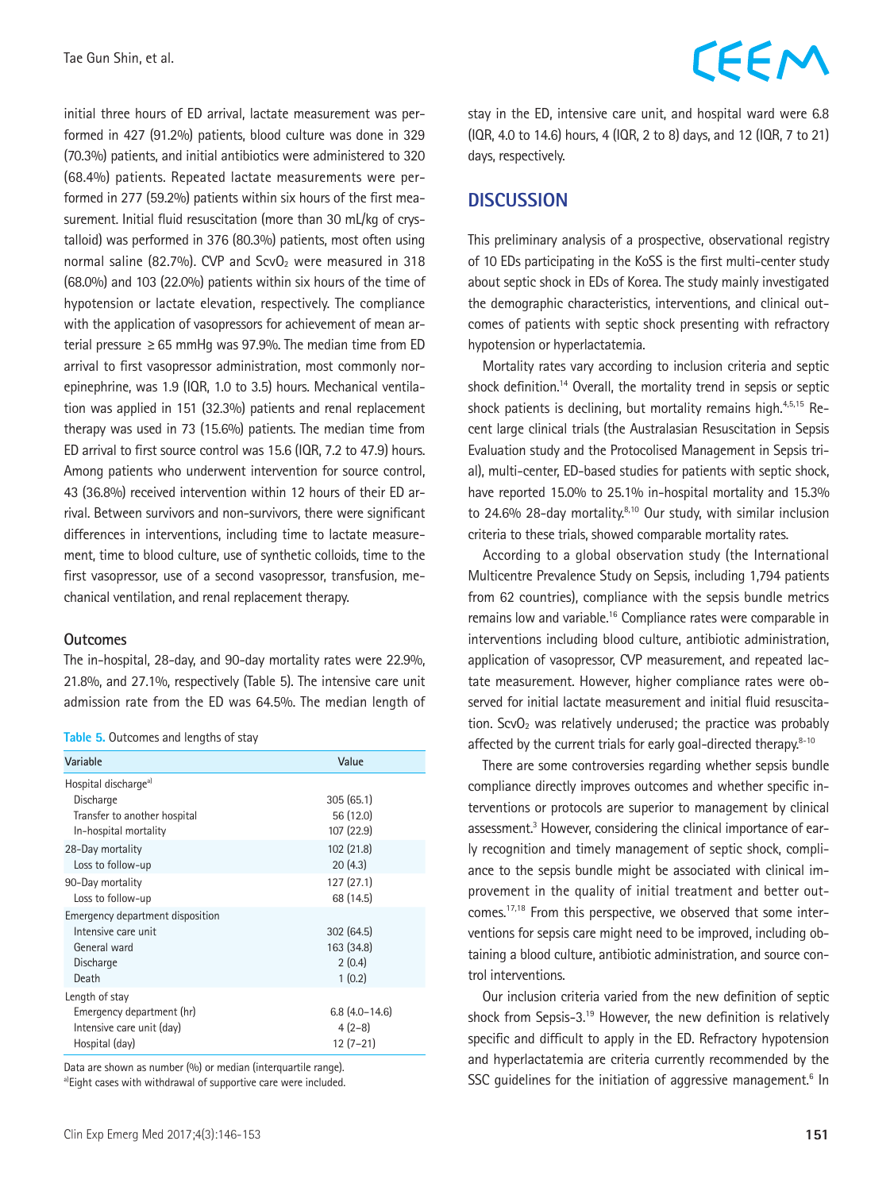initial three hours of ED arrival, lactate measurement was performed in 427 (91.2%) patients, blood culture was done in 329 (70.3%) patients, and initial antibiotics were administered to 320 (68.4%) patients. Repeated lactate measurements were performed in 277 (59.2%) patients within six hours of the first measurement. Initial fluid resuscitation (more than 30 mL/kg of crystalloid) was performed in 376 (80.3%) patients, most often using normal saline (82.7%). CVP and  $ScvO<sub>2</sub>$  were measured in 318 (68.0%) and 103 (22.0%) patients within six hours of the time of hypotension or lactate elevation, respectively. The compliance with the application of vasopressors for achievement of mean arterial pressure  $\geq 65$  mmHg was 97.9%. The median time from ED arrival to first vasopressor administration, most commonly norepinephrine, was 1.9 (IQR, 1.0 to 3.5) hours. Mechanical ventilation was applied in 151 (32.3%) patients and renal replacement therapy was used in 73 (15.6%) patients. The median time from ED arrival to first source control was 15.6 (IQR, 7.2 to 47.9) hours. Among patients who underwent intervention for source control, 43 (36.8%) received intervention within 12 hours of their ED arrival. Between survivors and non-survivors, there were significant differences in interventions, including time to lactate measurement, time to blood culture, use of synthetic colloids, time to the first vasopressor, use of a second vasopressor, transfusion, mechanical ventilation, and renal replacement therapy.

#### **Outcomes**

The in-hospital, 28-day, and 90-day mortality rates were 22.9%, 21.8%, and 27.1%, respectively (Table 5). The intensive care unit admission rate from the ED was 64.5%. The median length of

|  | Table 5. Outcomes and lengths of stay |  |  |  |
|--|---------------------------------------|--|--|--|
|--|---------------------------------------|--|--|--|

| Variable                                                                                                                                        | Value                                                         |
|-------------------------------------------------------------------------------------------------------------------------------------------------|---------------------------------------------------------------|
| Hospital discharge <sup>a)</sup><br>Discharge<br>Transfer to another hospital<br>In-hospital mortality<br>28-Day mortality<br>Loss to follow-up | 305(65.1)<br>56 (12.0)<br>107 (22.9)<br>102 (21.8)<br>20(4.3) |
| 90-Day mortality<br>Loss to follow-up                                                                                                           | 127 (27.1)<br>68 (14.5)                                       |
| Emergency department disposition<br>Intensive care unit<br>General ward<br>Discharge<br>Death                                                   | 302(64.5)<br>163 (34.8)<br>2(0.4)<br>1(0.2)                   |
| Length of stay<br>Emergency department (hr)<br>Intensive care unit (day)<br>Hospital (day)                                                      | $6.8(4.0-14.6)$<br>$4(2-8)$<br>$12(7-21)$                     |

Data are shown as number (%) or median (interquartile range). a)Eight cases with withdrawal of supportive care were included. stay in the ED, intensive care unit, and hospital ward were 6.8 (IQR, 4.0 to 14.6) hours, 4 (IQR, 2 to 8) days, and 12 (IQR, 7 to 21) days, respectively.

#### **DISCUSSION**

This preliminary analysis of a prospective, observational registry of 10 EDs participating in the KoSS is the first multi-center study about septic shock in EDs of Korea. The study mainly investigated the demographic characteristics, interventions, and clinical outcomes of patients with septic shock presenting with refractory hypotension or hyperlactatemia.

Mortality rates vary according to inclusion criteria and septic shock definition.<sup>14</sup> Overall, the mortality trend in sepsis or septic shock patients is declining, but mortality remains high.<sup>4,5,15</sup> Recent large clinical trials (the Australasian Resuscitation in Sepsis Evaluation study and the Protocolised Management in Sepsis trial), multi-center, ED-based studies for patients with septic shock, have reported 15.0% to 25.1% in-hospital mortality and 15.3% to 24.6% 28-day mortality.<sup>8,10</sup> Our study, with similar inclusion criteria to these trials, showed comparable mortality rates.

According to a global observation study (the International Multicentre Prevalence Study on Sepsis, including 1,794 patients from 62 countries), compliance with the sepsis bundle metrics remains low and variable.16 Compliance rates were comparable in interventions including blood culture, antibiotic administration, application of vasopressor, CVP measurement, and repeated lactate measurement. However, higher compliance rates were observed for initial lactate measurement and initial fluid resuscitation. ScvO<sub>2</sub> was relatively underused; the practice was probably affected by the current trials for early goal-directed therapy.<sup>8-10</sup>

There are some controversies regarding whether sepsis bundle compliance directly improves outcomes and whether specific interventions or protocols are superior to management by clinical assessment.<sup>3</sup> However, considering the clinical importance of early recognition and timely management of septic shock, compliance to the sepsis bundle might be associated with clinical improvement in the quality of initial treatment and better outcomes.17,18 From this perspective, we observed that some interventions for sepsis care might need to be improved, including obtaining a blood culture, antibiotic administration, and source control interventions.

Our inclusion criteria varied from the new definition of septic shock from Sepsis-3.19 However, the new definition is relatively specific and difficult to apply in the ED. Refractory hypotension and hyperlactatemia are criteria currently recommended by the SSC guidelines for the initiation of aggressive management.<sup>6</sup> In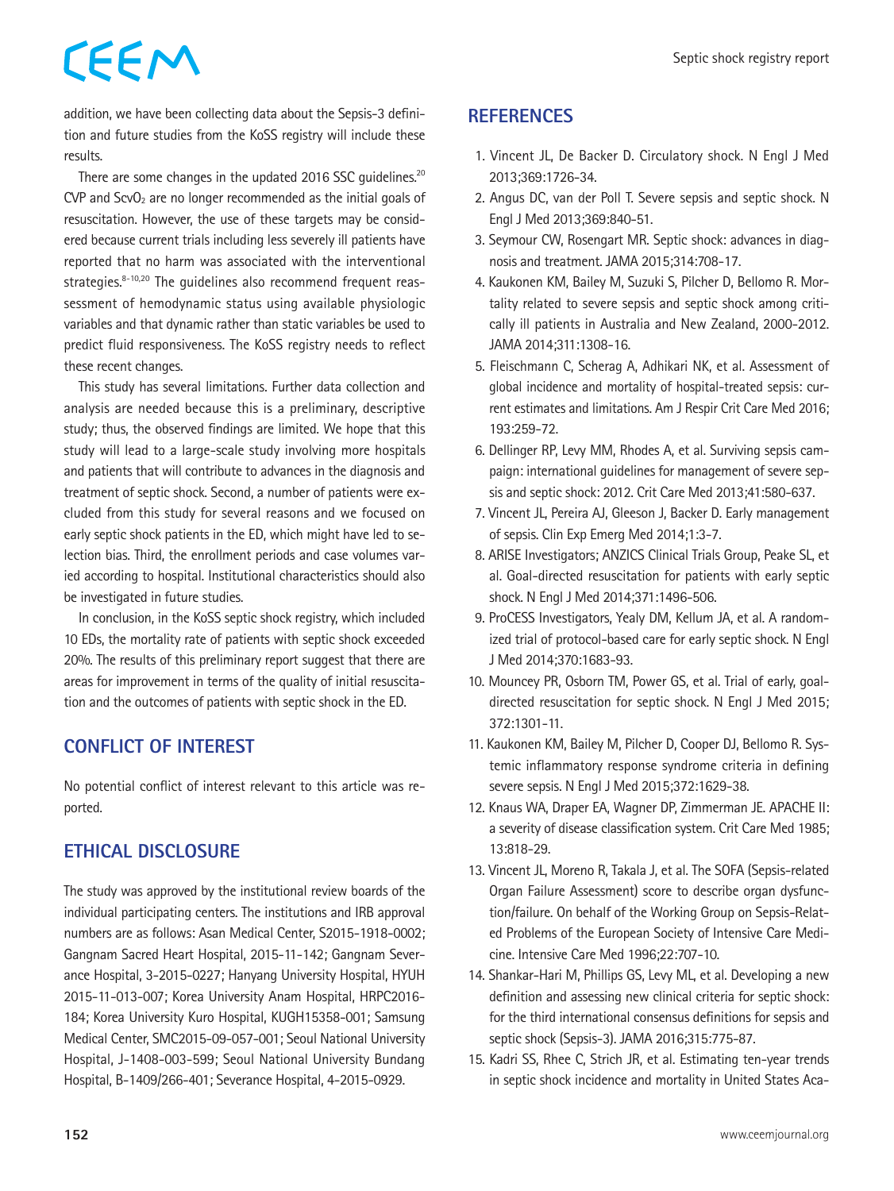addition, we have been collecting data about the Sepsis-3 definition and future studies from the KoSS registry will include these results.

There are some changes in the updated 2016 SSC quidelines.<sup>20</sup>  $CVP$  and  $ScvO<sub>2</sub>$  are no longer recommended as the initial goals of resuscitation. However, the use of these targets may be considered because current trials including less severely ill patients have reported that no harm was associated with the interventional strategies.<sup>8-10,20</sup> The quidelines also recommend frequent reassessment of hemodynamic status using available physiologic variables and that dynamic rather than static variables be used to predict fluid responsiveness. The KoSS registry needs to reflect these recent changes.

This study has several limitations. Further data collection and analysis are needed because this is a preliminary, descriptive study; thus, the observed findings are limited. We hope that this study will lead to a large-scale study involving more hospitals and patients that will contribute to advances in the diagnosis and treatment of septic shock. Second, a number of patients were excluded from this study for several reasons and we focused on early septic shock patients in the ED, which might have led to selection bias. Third, the enrollment periods and case volumes varied according to hospital. Institutional characteristics should also be investigated in future studies.

In conclusion, in the KoSS septic shock registry, which included 10 EDs, the mortality rate of patients with septic shock exceeded 20%. The results of this preliminary report suggest that there are areas for improvement in terms of the quality of initial resuscitation and the outcomes of patients with septic shock in the ED.

## **CONFLICT OF INTEREST**

No potential conflict of interest relevant to this article was reported.

## **ETHICAL DISCLOSURE**

The study was approved by the institutional review boards of the individual participating centers. The institutions and IRB approval numbers are as follows: Asan Medical Center, S2015-1918-0002; Gangnam Sacred Heart Hospital, 2015-11-142; Gangnam Severance Hospital, 3-2015-0227; Hanyang University Hospital, HYUH 2015-11-013-007; Korea University Anam Hospital, HRPC2016- 184; Korea University Kuro Hospital, KUGH15358-001; Samsung Medical Center, SMC2015-09-057-001; Seoul National University Hospital, J-1408-003-599; Seoul National University Bundang Hospital, B-1409/266-401; Severance Hospital, 4-2015-0929.

## **REFERENCES**

- 1. Vincent JL, De Backer D. Circulatory shock. N Engl J Med 2013;369:1726-34.
- 2. Angus DC, van der Poll T. Severe sepsis and septic shock. N Engl J Med 2013;369:840-51.
- 3. Seymour CW, Rosengart MR. Septic shock: advances in diagnosis and treatment. JAMA 2015;314:708-17.
- 4. Kaukonen KM, Bailey M, Suzuki S, Pilcher D, Bellomo R. Mortality related to severe sepsis and septic shock among critically ill patients in Australia and New Zealand, 2000-2012. JAMA 2014;311:1308-16.
- 5. Fleischmann C, Scherag A, Adhikari NK, et al. Assessment of global incidence and mortality of hospital-treated sepsis: current estimates and limitations. Am J Respir Crit Care Med 2016; 193:259-72.
- 6. Dellinger RP, Levy MM, Rhodes A, et al. Surviving sepsis campaign: international guidelines for management of severe sepsis and septic shock: 2012. Crit Care Med 2013;41:580-637.
- 7. Vincent JL, Pereira AJ, Gleeson J, Backer D. Early management of sepsis. Clin Exp Emerg Med 2014;1:3-7.
- 8. ARISE Investigators; ANZICS Clinical Trials Group, Peake SL, et al. Goal-directed resuscitation for patients with early septic shock. N Engl J Med 2014;371:1496-506.
- 9. ProCESS Investigators, Yealy DM, Kellum JA, et al. A randomized trial of protocol-based care for early septic shock. N Engl J Med 2014;370:1683-93.
- 10. Mouncey PR, Osborn TM, Power GS, et al. Trial of early, goaldirected resuscitation for septic shock. N Engl J Med 2015; 372:1301-11.
- 11. Kaukonen KM, Bailey M, Pilcher D, Cooper DJ, Bellomo R. Systemic inflammatory response syndrome criteria in defining severe sepsis. N Engl J Med 2015;372:1629-38.
- 12. Knaus WA, Draper EA, Wagner DP, Zimmerman JE. APACHE II: a severity of disease classification system. Crit Care Med 1985; 13:818-29.
- 13. Vincent JL, Moreno R, Takala J, et al. The SOFA (Sepsis-related Organ Failure Assessment) score to describe organ dysfunction/failure. On behalf of the Working Group on Sepsis-Related Problems of the European Society of Intensive Care Medicine. Intensive Care Med 1996;22:707-10.
- 14. Shankar-Hari M, Phillips GS, Levy ML, et al. Developing a new definition and assessing new clinical criteria for septic shock: for the third international consensus definitions for sepsis and septic shock (Sepsis-3). JAMA 2016;315:775-87.
- 15. Kadri SS, Rhee C, Strich JR, et al. Estimating ten-year trends in septic shock incidence and mortality in United States Aca-